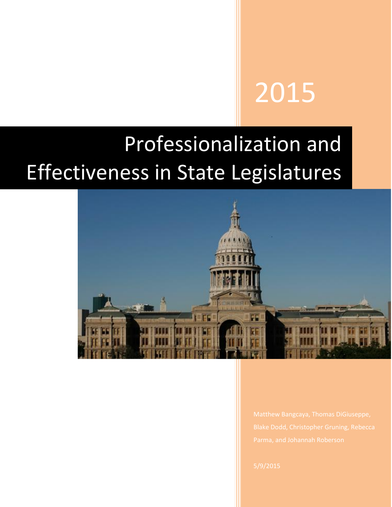# 2015

# Professionalization and Effectiveness in State Legislatures

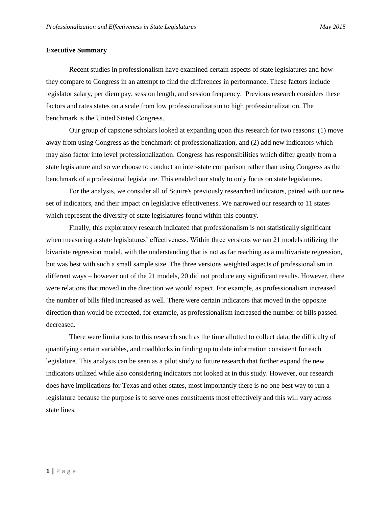# **Executive Summary**

Recent studies in professionalism have examined certain aspects of state legislatures and how they compare to Congress in an attempt to find the differences in performance. These factors include legislator salary, per diem pay, session length, and session frequency. Previous research considers these factors and rates states on a scale from low professionalization to high professionalization. The benchmark is the United Stated Congress.

Our group of capstone scholars looked at expanding upon this research for two reasons: (1) move away from using Congress as the benchmark of professionalization, and (2) add new indicators which may also factor into level professionalization. Congress has responsibilities which differ greatly from a state legislature and so we choose to conduct an inter-state comparison rather than using Congress as the benchmark of a professional legislature. This enabled our study to only focus on state legislatures.

For the analysis, we consider all of Squire's previously researched indicators, paired with our new set of indicators, and their impact on legislative effectiveness. We narrowed our research to 11 states which represent the diversity of state legislatures found within this country.

Finally, this exploratory research indicated that professionalism is not statistically significant when measuring a state legislatures' effectiveness. Within three versions we ran 21 models utilizing the bivariate regression model, with the understanding that is not as far reaching as a multivariate regression, but was best with such a small sample size. The three versions weighted aspects of professionalism in different ways – however out of the 21 models, 20 did not produce any significant results. However, there were relations that moved in the direction we would expect. For example, as professionalism increased the number of bills filed increased as well. There were certain indicators that moved in the opposite direction than would be expected, for example, as professionalism increased the number of bills passed decreased.

There were limitations to this research such as the time allotted to collect data, the difficulty of quantifying certain variables, and roadblocks in finding up to date information consistent for each legislature. This analysis can be seen as a pilot study to future research that further expand the new indicators utilized while also considering indicators not looked at in this study. However, our research does have implications for Texas and other states, most importantly there is no one best way to run a legislature because the purpose is to serve ones constituents most effectively and this will vary across state lines.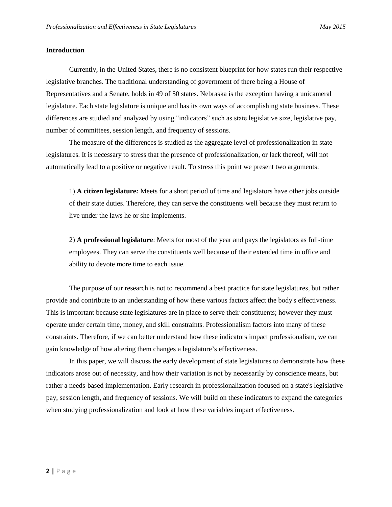# **Introduction**

Currently, in the United States, there is no consistent blueprint for how states run their respective legislative branches. The traditional understanding of government of there being a House of Representatives and a Senate, holds in 49 of 50 states. Nebraska is the exception having a unicameral legislature. Each state legislature is unique and has its own ways of accomplishing state business. These differences are studied and analyzed by using "indicators" such as state legislative size, legislative pay, number of committees, session length, and frequency of sessions.

The measure of the differences is studied as the aggregate level of professionalization in state legislatures. It is necessary to stress that the presence of professionalization, or lack thereof, will not automatically lead to a positive or negative result. To stress this point we present two arguments:

1) **A citizen legislature***:* Meets for a short period of time and legislators have other jobs outside of their state duties. Therefore, they can serve the constituents well because they must return to live under the laws he or she implements.

2) **A professional legislature**: Meets for most of the year and pays the legislators as full-time employees. They can serve the constituents well because of their extended time in office and ability to devote more time to each issue.

The purpose of our research is not to recommend a best practice for state legislatures, but rather provide and contribute to an understanding of how these various factors affect the body's effectiveness. This is important because state legislatures are in place to serve their constituents; however they must operate under certain time, money, and skill constraints. Professionalism factors into many of these constraints. Therefore, if we can better understand how these indicators impact professionalism, we can gain knowledge of how altering them changes a legislature's effectiveness.

In this paper, we will discuss the early development of state legislatures to demonstrate how these indicators arose out of necessity, and how their variation is not by necessarily by conscience means, but rather a needs-based implementation. Early research in professionalization focused on a state's legislative pay, session length, and frequency of sessions. We will build on these indicators to expand the categories when studying professionalization and look at how these variables impact effectiveness.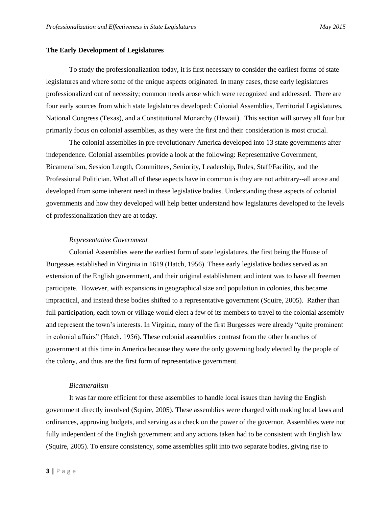# **The Early Development of Legislatures**

To study the professionalization today, it is first necessary to consider the earliest forms of state legislatures and where some of the unique aspects originated. In many cases, these early legislatures professionalized out of necessity; common needs arose which were recognized and addressed. There are four early sources from which state legislatures developed: Colonial Assemblies, Territorial Legislatures, National Congress (Texas), and a Constitutional Monarchy (Hawaii). This section will survey all four but primarily focus on colonial assemblies, as they were the first and their consideration is most crucial.

The colonial assemblies in pre-revolutionary America developed into 13 state governments after independence. Colonial assemblies provide a look at the following: Representative Government, Bicameralism, Session Length, Committees, Seniority, Leadership, Rules, Staff/Facility, and the Professional Politician. What all of these aspects have in common is they are not arbitrary--all arose and developed from some inherent need in these legislative bodies. Understanding these aspects of colonial governments and how they developed will help better understand how legislatures developed to the levels of professionalization they are at today.

# *Representative Government*

Colonial Assemblies were the earliest form of state legislatures, the first being the House of Burgesses established in Virginia in 1619 (Hatch, 1956). These early legislative bodies served as an extension of the English government, and their original establishment and intent was to have all freemen participate. However, with expansions in geographical size and population in colonies, this became impractical, and instead these bodies shifted to a representative government (Squire, 2005). Rather than full participation, each town or village would elect a few of its members to travel to the colonial assembly and represent the town's interests. In Virginia, many of the first Burgesses were already "quite prominent in colonial affairs" (Hatch, 1956). These colonial assemblies contrast from the other branches of government at this time in America because they were the only governing body elected by the people of the colony, and thus are the first form of representative government.

# *Bicameralism*

It was far more efficient for these assemblies to handle local issues than having the English government directly involved (Squire, 2005). These assemblies were charged with making local laws and ordinances, approving budgets, and serving as a check on the power of the governor. Assemblies were not fully independent of the English government and any actions taken had to be consistent with English law (Squire, 2005). To ensure consistency, some assemblies split into two separate bodies, giving rise to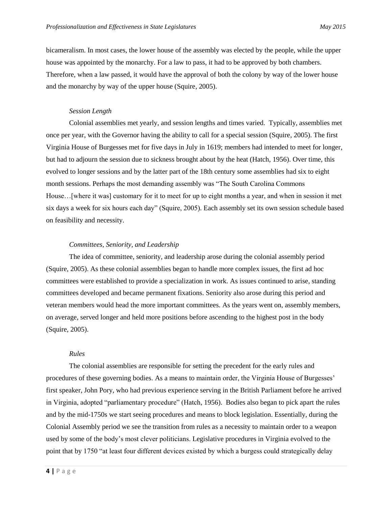bicameralism. In most cases, the lower house of the assembly was elected by the people, while the upper house was appointed by the monarchy. For a law to pass, it had to be approved by both chambers. Therefore, when a law passed, it would have the approval of both the colony by way of the lower house and the monarchy by way of the upper house (Squire, 2005).

# *Session Length*

Colonial assemblies met yearly, and session lengths and times varied. Typically, assemblies met once per year, with the Governor having the ability to call for a special session (Squire, 2005). The first Virginia House of Burgesses met for five days in July in 1619; members had intended to meet for longer, but had to adjourn the session due to sickness brought about by the heat (Hatch, 1956). Over time, this evolved to longer sessions and by the latter part of the 18th century some assemblies had six to eight month sessions. Perhaps the most demanding assembly was "The South Carolina Commons House…[where it was] customary for it to meet for up to eight months a year, and when in session it met six days a week for six hours each day" (Squire, 2005). Each assembly set its own session schedule based on feasibility and necessity.

# *Committees, Seniority, and Leadership*

The idea of committee, seniority, and leadership arose during the colonial assembly period (Squire, 2005). As these colonial assemblies began to handle more complex issues, the first ad hoc committees were established to provide a specialization in work. As issues continued to arise, standing committees developed and became permanent fixations. Seniority also arose during this period and veteran members would head the more important committees. As the years went on, assembly members, on average, served longer and held more positions before ascending to the highest post in the body (Squire, 2005).

# *Rules*

The colonial assemblies are responsible for setting the precedent for the early rules and procedures of these governing bodies. As a means to maintain order, the Virginia House of Burgesses' first speaker, John Pory, who had previous experience serving in the British Parliament before he arrived in Virginia, adopted "parliamentary procedure" (Hatch, 1956). Bodies also began to pick apart the rules and by the mid-1750s we start seeing procedures and means to block legislation. Essentially, during the Colonial Assembly period we see the transition from rules as a necessity to maintain order to a weapon used by some of the body's most clever politicians. Legislative procedures in Virginia evolved to the point that by 1750 "at least four different devices existed by which a burgess could strategically delay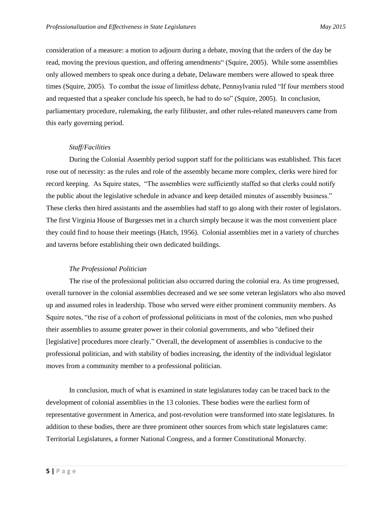consideration of a measure: a motion to adjourn during a debate, moving that the orders of the day be read, moving the previous question, and offering amendments" (Squire, 2005). While some assemblies only allowed members to speak once during a debate, Delaware members were allowed to speak three times (Squire, 2005). To combat the issue of limitless debate, Pennsylvania ruled "If four members stood and requested that a speaker conclude his speech, he had to do so" (Squire, 2005). In conclusion, parliamentary procedure, rulemaking, the early filibuster, and other rules-related maneuvers came from this early governing period.

# *Staff/Facilities*

During the Colonial Assembly period support staff for the politicians was established. This facet rose out of necessity: as the rules and role of the assembly became more complex, clerks were hired for record keeping. As Squire states, "The assemblies were sufficiently staffed so that clerks could notify the public about the legislative schedule in advance and keep detailed minutes of assembly business." These clerks then hired assistants and the assemblies had staff to go along with their roster of legislators. The first Virginia House of Burgesses met in a church simply because it was the most convenient place they could find to house their meetings (Hatch, 1956). Colonial assemblies met in a variety of churches and taverns before establishing their own dedicated buildings.

# *The Professional Politician*

The rise of the professional politician also occurred during the colonial era. As time progressed, overall turnover in the colonial assemblies decreased and we see some veteran legislators who also moved up and assumed roles in leadership. Those who served were either prominent community members. As Squire notes, "the rise of a cohort of professional politicians in most of the colonies, men who pushed their assemblies to assume greater power in their colonial governments, and who "defined their [legislative] procedures more clearly." Overall, the development of assemblies is conducive to the professional politician, and with stability of bodies increasing, the identity of the individual legislator moves from a community member to a professional politician.

In conclusion, much of what is examined in state legislatures today can be traced back to the development of colonial assemblies in the 13 colonies. These bodies were the earliest form of representative government in America, and post-revolution were transformed into state legislatures. In addition to these bodies, there are three prominent other sources from which state legislatures came: Territorial Legislatures, a former National Congress, and a former Constitutional Monarchy.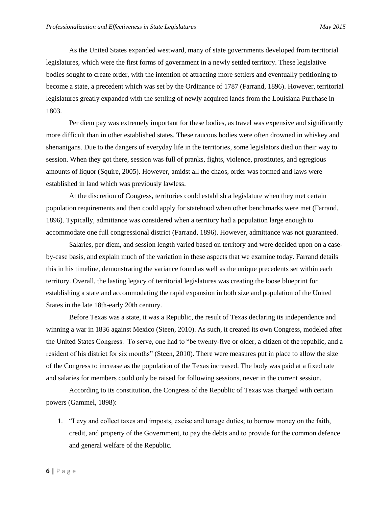As the United States expanded westward, many of state governments developed from territorial legislatures, which were the first forms of government in a newly settled territory. These legislative bodies sought to create order, with the intention of attracting more settlers and eventually petitioning to become a state, a precedent which was set by the Ordinance of 1787 (Farrand, 1896). However, territorial legislatures greatly expanded with the settling of newly acquired lands from the Louisiana Purchase in 1803.

Per diem pay was extremely important for these bodies, as travel was expensive and significantly more difficult than in other established states. These raucous bodies were often drowned in whiskey and shenanigans. Due to the dangers of everyday life in the territories, some legislators died on their way to session. When they got there, session was full of pranks, fights, violence, prostitutes, and egregious amounts of liquor (Squire, 2005). However, amidst all the chaos, order was formed and laws were established in land which was previously lawless.

At the discretion of Congress, territories could establish a legislature when they met certain population requirements and then could apply for statehood when other benchmarks were met (Farrand, 1896). Typically, admittance was considered when a territory had a population large enough to accommodate one full congressional district (Farrand, 1896). However, admittance was not guaranteed.

Salaries, per diem, and session length varied based on territory and were decided upon on a caseby-case basis, and explain much of the variation in these aspects that we examine today. Farrand details this in his timeline, demonstrating the variance found as well as the unique precedents set within each territory. Overall, the lasting legacy of territorial legislatures was creating the loose blueprint for establishing a state and accommodating the rapid expansion in both size and population of the United States in the late 18th-early 20th century.

Before Texas was a state, it was a Republic, the result of Texas declaring its independence and winning a war in 1836 against Mexico (Steen, 2010). As such, it created its own Congress, modeled after the United States Congress. To serve, one had to "be twenty-five or older, a citizen of the republic, and a resident of his district for six months" (Steen, 2010). There were measures put in place to allow the size of the Congress to increase as the population of the Texas increased. The body was paid at a fixed rate and salaries for members could only be raised for following sessions, never in the current session.

According to its constitution, the Congress of the Republic of Texas was charged with certain powers (Gammel, 1898):

1. "Levy and collect taxes and imposts, excise and tonage duties; to borrow money on the faith, credit, and property of the Government, to pay the debts and to provide for the common defence and general welfare of the Republic.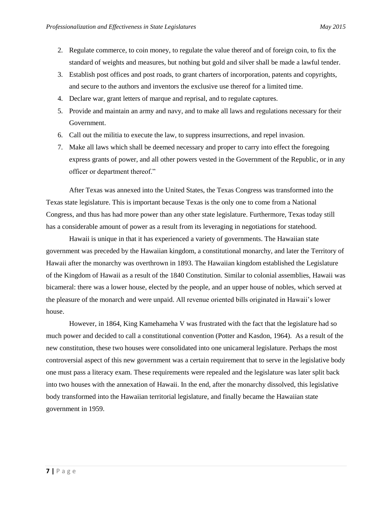- 2. Regulate commerce, to coin money, to regulate the value thereof and of foreign coin, to fix the standard of weights and measures, but nothing but gold and silver shall be made a lawful tender.
- 3. Establish post offices and post roads, to grant charters of incorporation, patents and copyrights, and secure to the authors and inventors the exclusive use thereof for a limited time.
- 4. Declare war, grant letters of marque and reprisal, and to regulate captures.
- 5. Provide and maintain an army and navy, and to make all laws and regulations necessary for their Government.
- 6. Call out the militia to execute the law, to suppress insurrections, and repel invasion.
- 7. Make all laws which shall be deemed necessary and proper to carry into effect the foregoing express grants of power, and all other powers vested in the Government of the Republic, or in any officer or department thereof."

After Texas was annexed into the United States, the Texas Congress was transformed into the Texas state legislature. This is important because Texas is the only one to come from a National Congress, and thus has had more power than any other state legislature. Furthermore, Texas today still has a considerable amount of power as a result from its leveraging in negotiations for statehood.

Hawaii is unique in that it has experienced a variety of governments. The Hawaiian state government was preceded by the Hawaiian kingdom, a constitutional monarchy, and later the Territory of Hawaii after the monarchy was overthrown in 1893. The Hawaiian kingdom established the Legislature of the Kingdom of Hawaii as a result of the 1840 Constitution. Similar to colonial assemblies, Hawaii was bicameral: there was a lower house, elected by the people, and an upper house of nobles, which served at the pleasure of the monarch and were unpaid. All revenue oriented bills originated in Hawaii's lower house.

However, in 1864, King Kamehameha V was frustrated with the fact that the legislature had so much power and decided to call a constitutional convention (Potter and Kasdon, 1964). As a result of the new constitution, these two houses were consolidated into one unicameral legislature. Perhaps the most controversial aspect of this new government was a certain requirement that to serve in the legislative body one must pass a literacy exam. These requirements were repealed and the legislature was later split back into two houses with the annexation of Hawaii. In the end, after the monarchy dissolved, this legislative body transformed into the Hawaiian territorial legislature, and finally became the Hawaiian state government in 1959.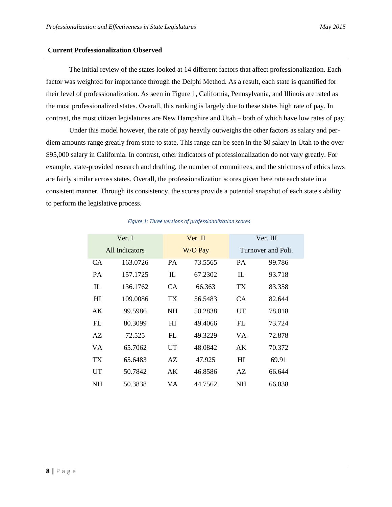# **Current Professionalization Observed**

The initial review of the states looked at 14 different factors that affect professionalization. Each factor was weighted for importance through the Delphi Method. As a result, each state is quantified for their level of professionalization. As seen in Figure 1, California, Pennsylvania, and Illinois are rated as the most professionalized states. Overall, this ranking is largely due to these states high rate of pay. In contrast, the most citizen legislatures are New Hampshire and Utah – both of which have low rates of pay.

Under this model however, the rate of pay heavily outweighs the other factors as salary and perdiem amounts range greatly from state to state. This range can be seen in the \$0 salary in Utah to the over \$95,000 salary in California. In contrast, other indicators of professionalization do not vary greatly. For example, state-provided research and drafting, the number of committees, and the strictness of ethics laws are fairly similar across states. Overall, the professionalization scores given here rate each state in a consistent manner. Through its consistency, the scores provide a potential snapshot of each state's ability to perform the legislative process.

| Ver. I         |          |                 | Ver. II |                 | Ver. III           |  |  |
|----------------|----------|-----------------|---------|-----------------|--------------------|--|--|
| All Indicators |          |                 | W/O Pay |                 | Turnover and Poli. |  |  |
| CA.            | 163,0726 | <b>PA</b>       | 73.5565 | <b>PA</b>       | 99.786             |  |  |
| <b>PA</b>      | 157.1725 | IL              | 67.2302 | IL              | 93.718             |  |  |
| IL             | 136.1762 | CA.             | 66.363  | TX <sup>-</sup> | 83.358             |  |  |
| HI             | 109.0086 | TX <sup>-</sup> | 56.5483 | CA              | 82.644             |  |  |
| AK             | 99.5986  | <b>NH</b>       | 50.2838 | UT              | 78.018             |  |  |
| FL             | 80.3099  | HI              | 49.4066 | FL              | 73.724             |  |  |
| AZ.            | 72.525   | FL              | 49.3229 | VA.             | 72.878             |  |  |
| VA             | 65.7062  | UT              | 48.0842 | AK              | 70.372             |  |  |
| TX             | 65.6483  | AZ              | 47.925  | H               | 69.91              |  |  |
| UT             | 50.7842  | AK              | 46.8586 | AZ              | 66.644             |  |  |
| NH             | 50.3838  | VA              | 44.7562 | NH              | 66.038             |  |  |

### *Figure 1: Three versions of professionalization scores*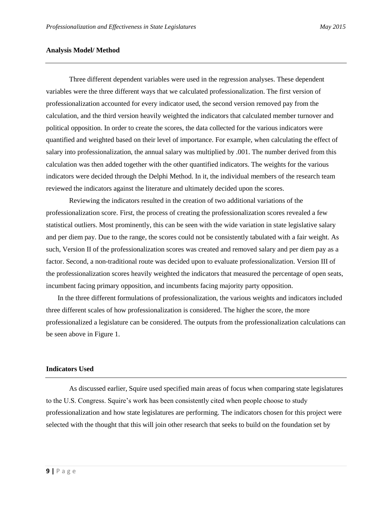# **Analysis Model/ Method**

Three different dependent variables were used in the regression analyses. These dependent variables were the three different ways that we calculated professionalization. The first version of professionalization accounted for every indicator used, the second version removed pay from the calculation, and the third version heavily weighted the indicators that calculated member turnover and political opposition. In order to create the scores, the data collected for the various indicators were quantified and weighted based on their level of importance. For example, when calculating the effect of salary into professionalization, the annual salary was multiplied by .001. The number derived from this calculation was then added together with the other quantified indicators. The weights for the various indicators were decided through the Delphi Method. In it, the individual members of the research team reviewed the indicators against the literature and ultimately decided upon the scores.

Reviewing the indicators resulted in the creation of two additional variations of the professionalization score. First, the process of creating the professionalization scores revealed a few statistical outliers. Most prominently, this can be seen with the wide variation in state legislative salary and per diem pay. Due to the range, the scores could not be consistently tabulated with a fair weight. As such, Version II of the professionalization scores was created and removed salary and per diem pay as a factor. Second, a non-traditional route was decided upon to evaluate professionalization. Version III of the professionalization scores heavily weighted the indicators that measured the percentage of open seats, incumbent facing primary opposition, and incumbents facing majority party opposition.

In the three different formulations of professionalization, the various weights and indicators included three different scales of how professionalization is considered. The higher the score, the more professionalized a legislature can be considered. The outputs from the professionalization calculations can be seen above in Figure 1.

# **Indicators Used**

As discussed earlier, Squire used specified main areas of focus when comparing state legislatures to the U.S. Congress. Squire's work has been consistently cited when people choose to study professionalization and how state legislatures are performing. The indicators chosen for this project were selected with the thought that this will join other research that seeks to build on the foundation set by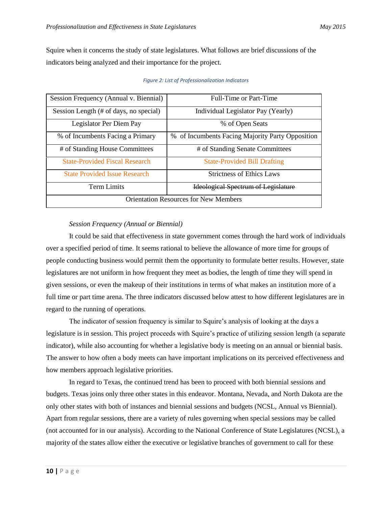Squire when it concerns the study of state legislatures. What follows are brief discussions of the indicators being analyzed and their importance for the project.

| Session Frequency (Annual v. Biennial)       | Full-Time or Part-Time                           |  |  |  |  |  |
|----------------------------------------------|--------------------------------------------------|--|--|--|--|--|
| Session Length (# of days, no special)       | Individual Legislator Pay (Yearly)               |  |  |  |  |  |
| Legislator Per Diem Pay                      | % of Open Seats                                  |  |  |  |  |  |
| % of Incumbents Facing a Primary             | % of Incumbents Facing Majority Party Opposition |  |  |  |  |  |
| # of Standing House Committees               | # of Standing Senate Committees                  |  |  |  |  |  |
| <b>State-Provided Fiscal Research</b>        | <b>State-Provided Bill Drafting</b>              |  |  |  |  |  |
| <b>State Provided Issue Research</b>         | <b>Strictness of Ethics Laws</b>                 |  |  |  |  |  |
| Term Limits                                  | Ideological Spectrum of Legislature              |  |  |  |  |  |
| <b>Orientation Resources for New Members</b> |                                                  |  |  |  |  |  |

# *Figure 2: List of Professionalization Indicators*

# *Session Frequency (Annual or Biennial)*

It could be said that effectiveness in state government comes through the hard work of individuals over a specified period of time. It seems rational to believe the allowance of more time for groups of people conducting business would permit them the opportunity to formulate better results. However, state legislatures are not uniform in how frequent they meet as bodies, the length of time they will spend in given sessions, or even the makeup of their institutions in terms of what makes an institution more of a full time or part time arena. The three indicators discussed below attest to how different legislatures are in regard to the running of operations.

The indicator of session frequency is similar to Squire's analysis of looking at the days a legislature is in session. This project proceeds with Squire's practice of utilizing session length (a separate indicator), while also accounting for whether a legislative body is meeting on an annual or biennial basis. The answer to how often a body meets can have important implications on its perceived effectiveness and how members approach legislative priorities.

In regard to Texas, the continued trend has been to proceed with both biennial sessions and budgets. Texas joins only three other states in this endeavor. Montana, Nevada, and North Dakota are the only other states with both of instances and biennial sessions and budgets (NCSL, Annual vs Biennial). Apart from regular sessions, there are a variety of rules governing when special sessions may be called (not accounted for in our analysis). According to the National Conference of State Legislatures (NCSL), a majority of the states allow either the executive or legislative branches of government to call for these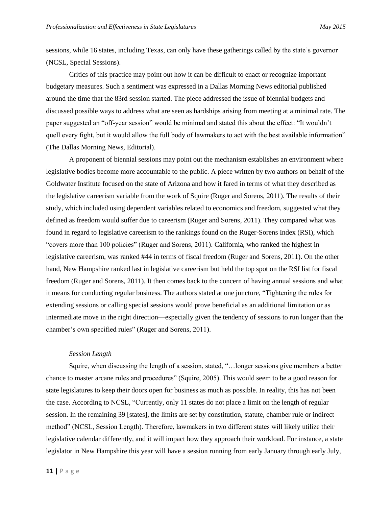sessions, while 16 states, including Texas, can only have these gatherings called by the state's governor (NCSL, Special Sessions).

Critics of this practice may point out how it can be difficult to enact or recognize important budgetary measures. Such a sentiment was expressed in a Dallas Morning News editorial published around the time that the 83rd session started. The piece addressed the issue of biennial budgets and discussed possible ways to address what are seen as hardships arising from meeting at a minimal rate. The paper suggested an "off-year session" would be minimal and stated this about the effect: "It wouldn't quell every fight, but it would allow the full body of lawmakers to act with the best available information" (The Dallas Morning News, Editorial).

A proponent of biennial sessions may point out the mechanism establishes an environment where legislative bodies become more accountable to the public. A piece written by two authors on behalf of the Goldwater Institute focused on the state of Arizona and how it fared in terms of what they described as the legislative careerism variable from the work of Squire (Ruger and Sorens, 2011). The results of their study, which included using dependent variables related to economics and freedom, suggested what they defined as freedom would suffer due to careerism (Ruger and Sorens, 2011). They compared what was found in regard to legislative careerism to the rankings found on the Ruger-Sorens Index (RSI), which "covers more than 100 policies" (Ruger and Sorens, 2011). California, who ranked the highest in legislative careerism, was ranked #44 in terms of fiscal freedom (Ruger and Sorens, 2011). On the other hand, New Hampshire ranked last in legislative careerism but held the top spot on the RSI list for fiscal freedom (Ruger and Sorens, 2011). It then comes back to the concern of having annual sessions and what it means for conducting regular business. The authors stated at one juncture, "Tightening the rules for extending sessions or calling special sessions would prove beneficial as an additional limitation or as intermediate move in the right direction—especially given the tendency of sessions to run longer than the chamber's own specified rules" (Ruger and Sorens, 2011).

# *Session Length*

Squire, when discussing the length of a session, stated, "…longer sessions give members a better chance to master arcane rules and procedures" (Squire, 2005). This would seem to be a good reason for state legislatures to keep their doors open for business as much as possible. In reality, this has not been the case. According to NCSL, "Currently, only 11 states do not place a limit on the length of regular session. In the remaining 39 [states], the limits are set by constitution, statute, chamber rule or indirect method" (NCSL, Session Length). Therefore, lawmakers in two different states will likely utilize their legislative calendar differently, and it will impact how they approach their workload. For instance, a state legislator in New Hampshire this year will have a session running from early January through early July,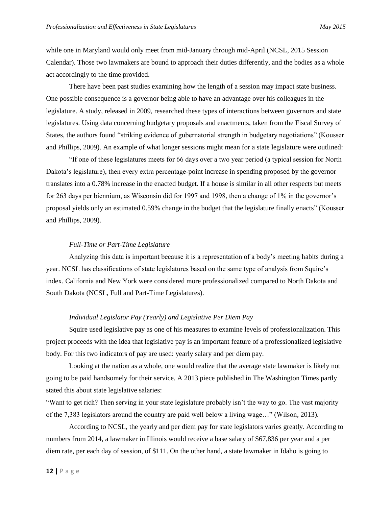while one in Maryland would only meet from mid-January through mid-April (NCSL, 2015 Session Calendar). Those two lawmakers are bound to approach their duties differently, and the bodies as a whole act accordingly to the time provided.

There have been past studies examining how the length of a session may impact state business. One possible consequence is a governor being able to have an advantage over his colleagues in the legislature. A study, released in 2009, researched these types of interactions between governors and state legislatures. Using data concerning budgetary proposals and enactments, taken from the Fiscal Survey of States, the authors found "striking evidence of gubernatorial strength in budgetary negotiations" (Kousser and Phillips, 2009). An example of what longer sessions might mean for a state legislature were outlined:

"If one of these legislatures meets for 66 days over a two year period (a typical session for North Dakota's legislature), then every extra percentage-point increase in spending proposed by the governor translates into a 0.78% increase in the enacted budget. If a house is similar in all other respects but meets for 263 days per biennium, as Wisconsin did for 1997 and 1998, then a change of 1% in the governor's proposal yields only an estimated 0.59% change in the budget that the legislature finally enacts" (Kousser and Phillips, 2009).

# *Full-Time or Part-Time Legislature*

Analyzing this data is important because it is a representation of a body's meeting habits during a year. NCSL has classifications of state legislatures based on the same type of analysis from Squire's index. California and New York were considered more professionalized compared to North Dakota and South Dakota (NCSL, Full and Part-Time Legislatures).

# *Individual Legislator Pay (Yearly) and Legislative Per Diem Pay*

Squire used legislative pay as one of his measures to examine levels of professionalization. This project proceeds with the idea that legislative pay is an important feature of a professionalized legislative body. For this two indicators of pay are used: yearly salary and per diem pay.

Looking at the nation as a whole, one would realize that the average state lawmaker is likely not going to be paid handsomely for their service. A 2013 piece published in The Washington Times partly stated this about state legislative salaries:

"Want to get rich? Then serving in your state legislature probably isn't the way to go. The vast majority of the 7,383 legislators around the country are paid well below a living wage…" (Wilson, 2013).

According to NCSL, the yearly and per diem pay for state legislators varies greatly. According to numbers from 2014, a lawmaker in Illinois would receive a base salary of \$67,836 per year and a per diem rate, per each day of session, of \$111. On the other hand, a state lawmaker in Idaho is going to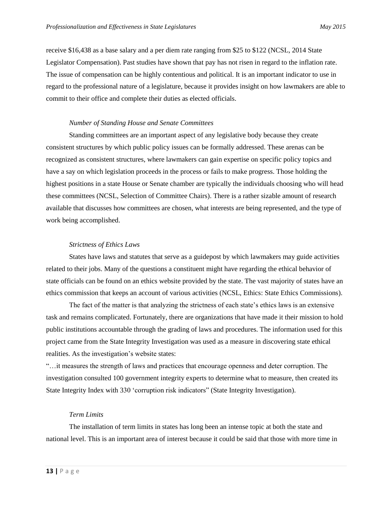receive \$16,438 as a base salary and a per diem rate ranging from \$25 to \$122 (NCSL, 2014 State Legislator Compensation). Past studies have shown that pay has not risen in regard to the inflation rate. The issue of compensation can be highly contentious and political. It is an important indicator to use in regard to the professional nature of a legislature, because it provides insight on how lawmakers are able to commit to their office and complete their duties as elected officials.

# *Number of Standing House and Senate Committees*

Standing committees are an important aspect of any legislative body because they create consistent structures by which public policy issues can be formally addressed. These arenas can be recognized as consistent structures, where lawmakers can gain expertise on specific policy topics and have a say on which legislation proceeds in the process or fails to make progress. Those holding the highest positions in a state House or Senate chamber are typically the individuals choosing who will head these committees (NCSL, Selection of Committee Chairs). There is a rather sizable amount of research available that discusses how committees are chosen, what interests are being represented, and the type of work being accomplished.

# *Strictness of Ethics Laws*

States have laws and statutes that serve as a guidepost by which lawmakers may guide activities related to their jobs. Many of the questions a constituent might have regarding the ethical behavior of state officials can be found on an ethics website provided by the state. The vast majority of states have an ethics commission that keeps an account of various activities (NCSL, Ethics: State Ethics Commissions).

The fact of the matter is that analyzing the strictness of each state's ethics laws is an extensive task and remains complicated. Fortunately, there are organizations that have made it their mission to hold public institutions accountable through the grading of laws and procedures. The information used for this project came from the State Integrity Investigation was used as a measure in discovering state ethical realities. As the investigation's website states:

"…it measures the strength of laws and practices that encourage openness and deter corruption. The investigation consulted 100 government integrity experts to determine what to measure, then created its State Integrity Index with 330 'corruption risk indicators" (State Integrity Investigation).

# *Term Limits*

The installation of term limits in states has long been an intense topic at both the state and national level. This is an important area of interest because it could be said that those with more time in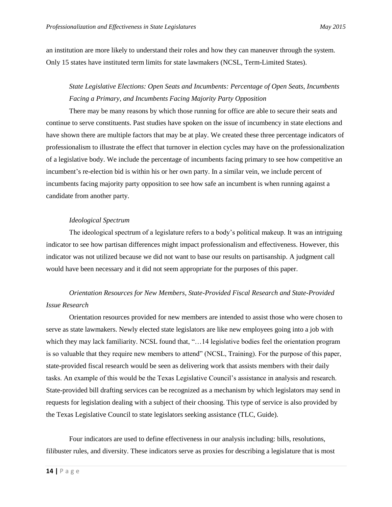an institution are more likely to understand their roles and how they can maneuver through the system. Only 15 states have instituted term limits for state lawmakers (NCSL, Term-Limited States).

# *State Legislative Elections: Open Seats and Incumbents: Percentage of Open Seats, Incumbents Facing a Primary, and Incumbents Facing Majority Party Opposition*

There may be many reasons by which those running for office are able to secure their seats and continue to serve constituents. Past studies have spoken on the issue of incumbency in state elections and have shown there are multiple factors that may be at play. We created these three percentage indicators of professionalism to illustrate the effect that turnover in election cycles may have on the professionalization of a legislative body. We include the percentage of incumbents facing primary to see how competitive an incumbent's re-election bid is within his or her own party. In a similar vein, we include percent of incumbents facing majority party opposition to see how safe an incumbent is when running against a candidate from another party.

# *Ideological Spectrum*

The ideological spectrum of a legislature refers to a body's political makeup. It was an intriguing indicator to see how partisan differences might impact professionalism and effectiveness. However, this indicator was not utilized because we did not want to base our results on partisanship. A judgment call would have been necessary and it did not seem appropriate for the purposes of this paper.

# *Orientation Resources for New Members, State-Provided Fiscal Research and State-Provided Issue Research*

Orientation resources provided for new members are intended to assist those who were chosen to serve as state lawmakers. Newly elected state legislators are like new employees going into a job with which they may lack familiarity. NCSL found that, "...14 legislative bodies feel the orientation program is so valuable that they require new members to attend" (NCSL, Training). For the purpose of this paper, state-provided fiscal research would be seen as delivering work that assists members with their daily tasks. An example of this would be the Texas Legislative Council's assistance in analysis and research. State-provided bill drafting services can be recognized as a mechanism by which legislators may send in requests for legislation dealing with a subject of their choosing. This type of service is also provided by the Texas Legislative Council to state legislators seeking assistance (TLC, Guide).

Four indicators are used to define effectiveness in our analysis including: bills, resolutions, filibuster rules, and diversity. These indicators serve as proxies for describing a legislature that is most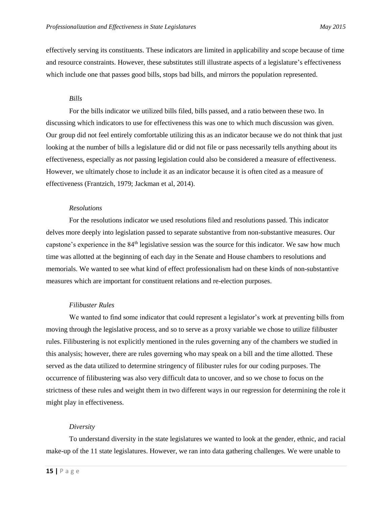effectively serving its constituents. These indicators are limited in applicability and scope because of time and resource constraints. However, these substitutes still illustrate aspects of a legislature's effectiveness which include one that passes good bills, stops bad bills, and mirrors the population represented.

# *Bills*

For the bills indicator we utilized bills filed, bills passed, and a ratio between these two. In discussing which indicators to use for effectiveness this was one to which much discussion was given. Our group did not feel entirely comfortable utilizing this as an indicator because we do not think that just looking at the number of bills a legislature did or did not file or pass necessarily tells anything about its effectiveness, especially as *not* passing legislation could also be considered a measure of effectiveness. However, we ultimately chose to include it as an indicator because it is often cited as a measure of effectiveness (Frantzich, 1979; Jackman et al, 2014).

# *Resolutions*

For the resolutions indicator we used resolutions filed and resolutions passed. This indicator delves more deeply into legislation passed to separate substantive from non-substantive measures. Our capstone's experience in the  $84<sup>th</sup>$  legislative session was the source for this indicator. We saw how much time was allotted at the beginning of each day in the Senate and House chambers to resolutions and memorials. We wanted to see what kind of effect professionalism had on these kinds of non-substantive measures which are important for constituent relations and re-election purposes.

# *Filibuster Rules*

We wanted to find some indicator that could represent a legislator's work at preventing bills from moving through the legislative process, and so to serve as a proxy variable we chose to utilize filibuster rules. Filibustering is not explicitly mentioned in the rules governing any of the chambers we studied in this analysis; however, there are rules governing who may speak on a bill and the time allotted. These served as the data utilized to determine stringency of filibuster rules for our coding purposes. The occurrence of filibustering was also very difficult data to uncover, and so we chose to focus on the strictness of these rules and weight them in two different ways in our regression for determining the role it might play in effectiveness.

# *Diversity*

To understand diversity in the state legislatures we wanted to look at the gender, ethnic, and racial make-up of the 11 state legislatures. However, we ran into data gathering challenges. We were unable to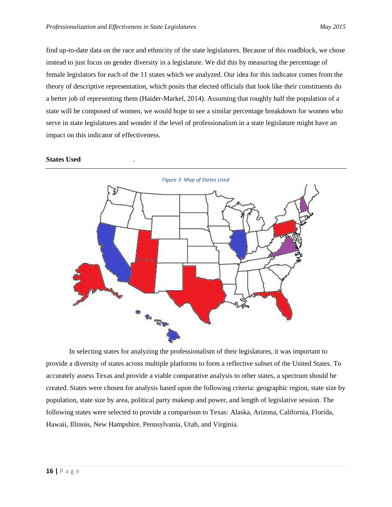find up-to-date data on the race and ethnicity of the state legislatures. Because of this roadblock, we chose instead to just focus on gender diversity in a legislature. We did this by measuring the percentage of female legislators for each of the 11 states which we analyzed. Our idea for this indicator comes from the theory of descriptive representation, which posits that elected officials that look like their constituents do a better job of representing them (Haider-Markel, 2014). Assuming that roughly half the population of a state will be composed of women, we would hope to see a similar percentage breakdown for women who serve in state legislatures and wonder if the level of professionalism in a state legislature might have an impact on this indicator of effectiveness.





In selecting states for analyzing the professionalism of their legislatures, it was important to provide a diversity of states across multiple platforms to form a reflective subset of the United States. To accurately assess Texas and provide a viable comparative analysis to other states, a spectrum should be created. States were chosen for analysis based upon the following criteria: geographic region, state size by population, state size by area, political party makeup and power, and length of legislative session. The following states were selected to provide a comparison to Texas: Alaska, Arizona, California, Florida, Hawaii, Illinois, New Hampshire, Pennsylvania, Utah, and Virginia.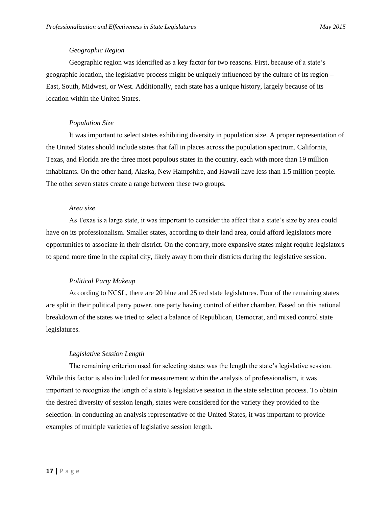# *Geographic Region*

Geographic region was identified as a key factor for two reasons. First, because of a state's geographic location, the legislative process might be uniquely influenced by the culture of its region – East, South, Midwest, or West. Additionally, each state has a unique history, largely because of its location within the United States.

# *Population Size*

It was important to select states exhibiting diversity in population size. A proper representation of the United States should include states that fall in places across the population spectrum. California, Texas, and Florida are the three most populous states in the country, each with more than 19 million inhabitants. On the other hand, Alaska, New Hampshire, and Hawaii have less than 1.5 million people. The other seven states create a range between these two groups.

# *Area size*

As Texas is a large state, it was important to consider the affect that a state's size by area could have on its professionalism. Smaller states, according to their land area, could afford legislators more opportunities to associate in their district. On the contrary, more expansive states might require legislators to spend more time in the capital city, likely away from their districts during the legislative session.

# *Political Party Makeup*

According to NCSL, there are 20 blue and 25 red state legislatures. Four of the remaining states are split in their political party power, one party having control of either chamber. Based on this national breakdown of the states we tried to select a balance of Republican, Democrat, and mixed control state legislatures.

# *Legislative Session Length*

The remaining criterion used for selecting states was the length the state's legislative session. While this factor is also included for measurement within the analysis of professionalism, it was important to recognize the length of a state's legislative session in the state selection process. To obtain the desired diversity of session length, states were considered for the variety they provided to the selection. In conducting an analysis representative of the United States, it was important to provide examples of multiple varieties of legislative session length.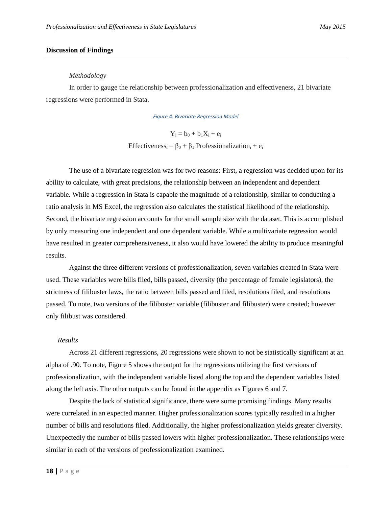# **Discussion of Findings**

# *Methodology*

In order to gauge the relationship between professionalization and effectiveness, 21 bivariate regressions were performed in Stata.

### *Figure 4: Bivariate Regression Model*

 $Y_i = b_0 + b_1 X_i + e_i$ Effectiveness<sub>i</sub> =  $\beta_0 + \beta_1$  Professionalization<sub>i</sub> + e<sub>i</sub>

The use of a bivariate regression was for two reasons: First, a regression was decided upon for its ability to calculate, with great precisions, the relationship between an independent and dependent variable. While a regression in Stata is capable the magnitude of a relationship, similar to conducting a ratio analysis in MS Excel, the regression also calculates the statistical likelihood of the relationship. Second, the bivariate regression accounts for the small sample size with the dataset. This is accomplished by only measuring one independent and one dependent variable. While a multivariate regression would have resulted in greater comprehensiveness, it also would have lowered the ability to produce meaningful results.

Against the three different versions of professionalization, seven variables created in Stata were used. These variables were bills filed, bills passed, diversity (the percentage of female legislators), the strictness of filibuster laws, the ratio between bills passed and filed, resolutions filed, and resolutions passed. To note, two versions of the filibuster variable (filibuster and filibuster) were created; however only filibust was considered.

# *Results*

Across 21 different regressions, 20 regressions were shown to not be statistically significant at an alpha of .90. To note, Figure 5 shows the output for the regressions utilizing the first versions of professionalization, with the independent variable listed along the top and the dependent variables listed along the left axis. The other outputs can be found in the appendix as Figures 6 and 7.

Despite the lack of statistical significance, there were some promising findings. Many results were correlated in an expected manner. Higher professionalization scores typically resulted in a higher number of bills and resolutions filed. Additionally, the higher professionalization yields greater diversity. Unexpectedly the number of bills passed lowers with higher professionalization. These relationships were similar in each of the versions of professionalization examined.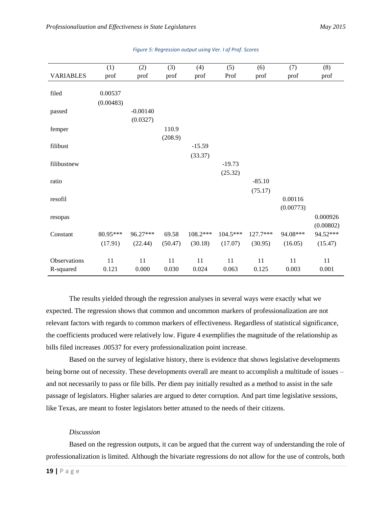|                  | (1)       | (2)        | (3)     | (4)      | (5)      | (6)      | (7)       | (8)       |
|------------------|-----------|------------|---------|----------|----------|----------|-----------|-----------|
| <b>VARIABLES</b> | prof      | prof       | prof    | prof     | Prof     | prof     | prof      | prof      |
|                  |           |            |         |          |          |          |           |           |
| filed            | 0.00537   |            |         |          |          |          |           |           |
|                  | (0.00483) |            |         |          |          |          |           |           |
| passed           |           | $-0.00140$ |         |          |          |          |           |           |
|                  |           | (0.0327)   |         |          |          |          |           |           |
| femper           |           |            | 110.9   |          |          |          |           |           |
|                  |           |            | (208.9) |          |          |          |           |           |
| filibust         |           |            |         | $-15.59$ |          |          |           |           |
|                  |           |            |         | (33.37)  |          |          |           |           |
| filibustnew      |           |            |         |          | $-19.73$ |          |           |           |
|                  |           |            |         |          | (25.32)  |          |           |           |
| ratio            |           |            |         |          |          | $-85.10$ |           |           |
|                  |           |            |         |          |          | (75.17)  |           |           |
| resofil          |           |            |         |          |          |          | 0.00116   |           |
|                  |           |            |         |          |          |          | (0.00773) |           |
| resopas          |           |            |         |          |          |          |           | 0.000926  |
|                  |           |            |         |          |          |          |           | (0.00802) |
| Constant         | 80.95***  | 96.27***   | 69.58   | 108.2*** | 104.5*** | 127.7*** | 94.08***  | 94.52***  |
|                  | (17.91)   | (22.44)    | (50.47) | (30.18)  | (17.07)  | (30.95)  | (16.05)   | (15.47)   |
|                  |           |            |         |          |          |          |           |           |
| Observations     | 11        | 11         | 11      | 11       | 11       | 11       | 11        | 11        |
| R-squared        | 0.121     | 0.000      | 0.030   | 0.024    | 0.063    | 0.125    | 0.003     | 0.001     |

# *Figure 5: Regression output using Ver. I of Prof. Scores*

The results yielded through the regression analyses in several ways were exactly what we expected. The regression shows that common and uncommon markers of professionalization are not relevant factors with regards to common markers of effectiveness. Regardless of statistical significance, the coefficients produced were relatively low. Figure 4 exemplifies the magnitude of the relationship as bills filed increases .00537 for every professionalization point increase.

Based on the survey of legislative history, there is evidence that shows legislative developments being borne out of necessity. These developments overall are meant to accomplish a multitude of issues – and not necessarily to pass or file bills. Per diem pay initially resulted as a method to assist in the safe passage of legislators. Higher salaries are argued to deter corruption. And part time legislative sessions, like Texas, are meant to foster legislators better attuned to the needs of their citizens.

# *Discussion*

Based on the regression outputs, it can be argued that the current way of understanding the role of professionalization is limited. Although the bivariate regressions do not allow for the use of controls, both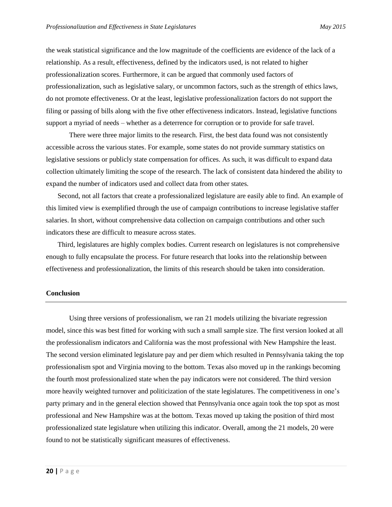the weak statistical significance and the low magnitude of the coefficients are evidence of the lack of a relationship. As a result, effectiveness, defined by the indicators used, is not related to higher professionalization scores. Furthermore, it can be argued that commonly used factors of professionalization, such as legislative salary, or uncommon factors, such as the strength of ethics laws, do not promote effectiveness. Or at the least, legislative professionalization factors do not support the filing or passing of bills along with the five other effectiveness indicators. Instead, legislative functions support a myriad of needs – whether as a deterrence for corruption or to provide for safe travel.

There were three major limits to the research. First, the best data found was not consistently accessible across the various states. For example, some states do not provide summary statistics on legislative sessions or publicly state compensation for offices. As such, it was difficult to expand data collection ultimately limiting the scope of the research. The lack of consistent data hindered the ability to expand the number of indicators used and collect data from other states.

Second, not all factors that create a professionalized legislature are easily able to find. An example of this limited view is exemplified through the use of campaign contributions to increase legislative staffer salaries. In short, without comprehensive data collection on campaign contributions and other such indicators these are difficult to measure across states.

Third, legislatures are highly complex bodies. Current research on legislatures is not comprehensive enough to fully encapsulate the process. For future research that looks into the relationship between effectiveness and professionalization, the limits of this research should be taken into consideration.

# **Conclusion**

Using three versions of professionalism, we ran 21 models utilizing the bivariate regression model, since this was best fitted for working with such a small sample size. The first version looked at all the professionalism indicators and California was the most professional with New Hampshire the least. The second version eliminated legislature pay and per diem which resulted in Pennsylvania taking the top professionalism spot and Virginia moving to the bottom. Texas also moved up in the rankings becoming the fourth most professionalized state when the pay indicators were not considered. The third version more heavily weighted turnover and politicization of the state legislatures. The competitiveness in one's party primary and in the general election showed that Pennsylvania once again took the top spot as most professional and New Hampshire was at the bottom. Texas moved up taking the position of third most professionalized state legislature when utilizing this indicator. Overall, among the 21 models, 20 were found to not be statistically significant measures of effectiveness.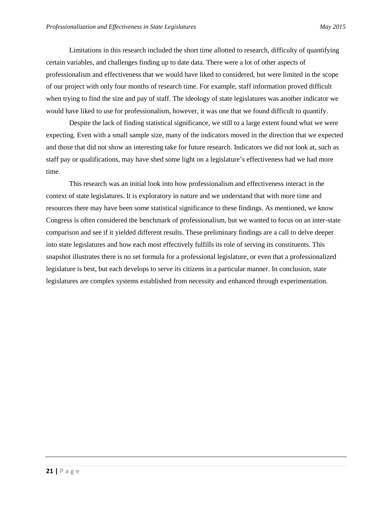Limitations in this research included the short time allotted to research, difficulty of quantifying certain variables, and challenges finding up to date data. There were a lot of other aspects of professionalism and effectiveness that we would have liked to considered, but were limited in the scope of our project with only four months of research time. For example, staff information proved difficult when trying to find the size and pay of staff. The ideology of state legislatures was another indicator we would have liked to use for professionalism, however, it was one that we found difficult to quantify.

Despite the lack of finding statistical significance, we still to a large extent found what we were expecting. Even with a small sample size, many of the indicators moved in the direction that we expected and those that did not show an interesting take for future research. Indicators we did not look at, such as staff pay or qualifications, may have shed some light on a legislature's effectiveness had we had more time.

This research was an initial look into how professionalism and effectiveness interact in the context of state legislatures. It is exploratory in nature and we understand that with more time and resources there may have been some statistical significance to these findings. As mentioned, we know Congress is often considered the benchmark of professionalism, but we wanted to focus on an inter-state comparison and see if it yielded different results. These preliminary findings are a call to delve deeper into state legislatures and how each most effectively fulfills its role of serving its constituents. This snapshot illustrates there is no set formula for a professional legislature, or even that a professionalized legislature is best, but each develops to serve its citizens in a particular manner. In conclusion, state legislatures are complex systems established from necessity and enhanced through experimentation.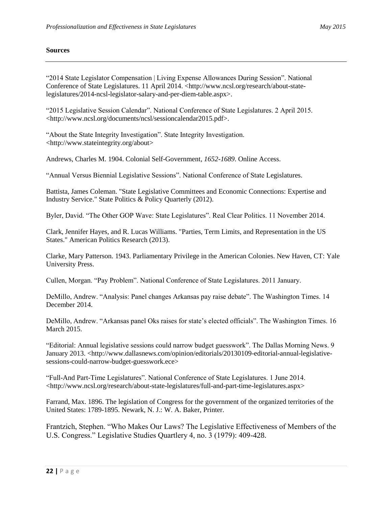# **Sources**

"2014 State Legislator Compensation | Living Expense Allowances During Session". National Conference of State Legislatures. 11 April 2014. <http://www.ncsl.org/research/about-statelegislatures/2014-ncsl-legislator-salary-and-per-diem-table.aspx>.

"2015 Legislative Session Calendar". National Conference of State Legislatures. 2 April 2015. <http://www.ncsl.org/documents/ncsl/sessioncalendar2015.pdf>.

"About the State Integrity Investigation". State Integrity Investigation. <http://www.stateintegrity.org/about>

Andrews, Charles M. 1904. Colonial Self-Government*, 1652-1689*. Online Access.

"Annual Versus Biennial Legislative Sessions". National Conference of State Legislatures.

Battista, James Coleman. "State Legislative Committees and Economic Connections: Expertise and Industry Service." State Politics & Policy Quarterly (2012).

Byler, David. "The Other GOP Wave: State Legislatures". Real Clear Politics. 11 November 2014.

Clark, Jennifer Hayes, and R. Lucas Williams. "Parties, Term Limits, and Representation in the US States." American Politics Research (2013).

Clarke, Mary Patterson. 1943. Parliamentary Privilege in the American Colonies. New Haven, CT: Yale University Press.

Cullen, Morgan. "Pay Problem". National Conference of State Legislatures. 2011 January.

DeMillo, Andrew. "Analysis: Panel changes Arkansas pay raise debate". The Washington Times. 14 December 2014.

DeMillo, Andrew. "Arkansas panel Oks raises for state's elected officials". The Washington Times. 16 March 2015.

"Editorial: Annual legislative sessions could narrow budget guesswork". The Dallas Morning News. 9 January 2013. <http://www.dallasnews.com/opinion/editorials/20130109-editorial-annual-legislativesessions-could-narrow-budget-guesswork.ece>

"Full-And Part-Time Legislatures". National Conference of State Legislatures. 1 June 2014. <http://www.ncsl.org/research/about-state-legislatures/full-and-part-time-legislatures.aspx>

Farrand, Max. 1896. The legislation of Congress for the government of the organized territories of the United States: 1789-1895. Newark, N. J.: W. A. Baker, Printer.

Frantzich, Stephen. "Who Makes Our Laws? The Legislative Effectiveness of Members of the U.S. Congress." Legislative Studies Quartlery 4, no. 3 (1979): 409-428.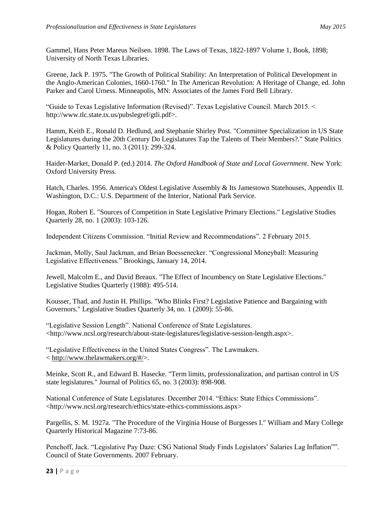Gammel, Hans Peter Mareus Neilsen. 1898. The Laws of Texas, 1822-1897 Volume 1, Book, 1898; University of North Texas Libraries.

Greene, Jack P. 1975. "The Growth of Political Stability: An Interpretation of Political Development in the Anglo-American Colonies, 1660-1760." In The American Revolution: A Heritage of Change, ed. John Parker and Carol Urness. Minneapolis, MN: Associates of the James Ford Bell Library.

"Guide to Texas Legislative Information (Revised)". Texas Legislative Council. March 2015. < http://www.tlc.state.tx.us/pubslegref/gtli.pdf>.

Hamm, Keith E., Ronald D. Hedlund, and Stephanie Shirley Post. "Committee Specialization in US State Legislatures during the 20th Century Do Legislatures Tap the Talents of Their Members?." State Politics & Policy Quarterly 11, no. 3 (2011): 299-324.

Haider-Market, Donald P. (ed.) 2014. *The Oxford Handbook of State and Local Government*. New York: Oxford University Press.

Hatch, Charles. 1956. America's Oldest Legislative Assembly & Its Jamestown Statehouses, Appendix II. Washington, D.C.: U.S. Department of the Interior, National Park Service.

Hogan, Robert E. "Sources of Competition in State Legislative Primary Elections." Legislative Studies Quarterly 28, no. 1 (2003): 103-126.

Independent Citizens Commission. "Initial Review and Recommendations". 2 February 2015.

Jackman, Molly, Saul Jackman, and Brian Boessenecker. "Congressional Moneyball: Measuring Legislative Effectiveness." Brookings, January 14, 2014.

Jewell, Malcolm E., and David Breaux. "The Effect of Incumbency on State Legislative Elections." Legislative Studies Quarterly (1988): 495-514.

Kousser, Thad, and Justin H. Phillips. "Who Blinks First? Legislative Patience and Bargaining with Governors." Legislative Studies Quarterly 34, no. 1 (2009): 55-86.

"Legislative Session Length". National Conference of State Legislatures. <http://www.ncsl.org/research/about-state-legislatures/legislative-session-length.aspx>.

"Legislative Effectiveness in the United States Congress". The Lawmakers. < [http://www.thelawmakers.org/#/>](http://www.thelawmakers.org/#/).

Meinke, Scott R., and Edward B. Hasecke. "Term limits, professionalization, and partisan control in US state legislatures." Journal of Politics 65, no. 3 (2003): 898-908.

National Conference of State Legislatures. December 2014. "Ethics: State Ethics Commissions". <http://www.ncsl.org/research/ethics/state-ethics-commissions.aspx>

Pargellis, S. M. 1927a. "The Procedure of the Virginia House of Burgesses I." William and Mary College Quarterly Historical Magazine 7:73-86.

Penchoff, Jack. "Legislative Pay Daze: CSG National Study Finds Legislators' Salaries Lag Inflation"". Council of State Governments. 2007 February.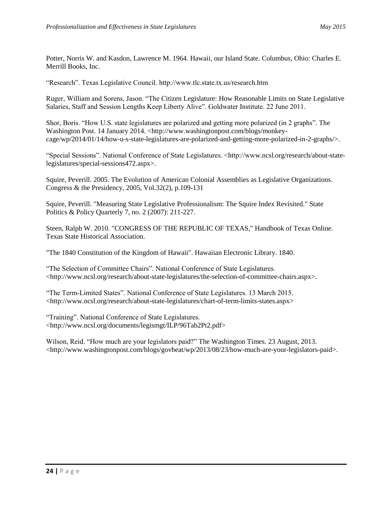Potter, Norris W. and Kasdon, Lawrence M. 1964. Hawaii, our Island State. Columbus, Ohio: Charles E. Merrill Books, Inc.

"Research". Texas Legislative Council. http://www.tlc.state.tx.us/research.htm

Ruger, William and Sorens, Jason. "The Citizen Legislature: How Reasonable Limits on State Legislative Salaries, Staff and Session Lengths Keep Liberty Alive". Goldwater Institute. 22 June 2011.

Shor, Boris. "How U.S. state legislatures are polarized and getting more polarized (in 2 graphs". The Washington Post. 14 January 2014. <http://www.washingtonpost.com/blogs/monkeycage/wp/2014/01/14/how-u-s-state-legislatures-are-polarized-and-getting-more-polarized-in-2-graphs/>.

"Special Sessions". National Conference of State Legislatures. <http://www.ncsl.org/research/about-statelegislatures/special-sessions472.aspx>.

Squire, Peverill. 2005. [The Evolution of American Colonial Assemblies as Legislative Organizations.](http://lib-ezproxy.tamu.edu:2048/login?frbrVersion=6&url=http://linkresolver.tamu.edu:9003/tamu?ctx_ver=Z39.88-2004&ctx_enc=info:ofi/enc:UTF-8&ctx_tim=2015-03-21T19%3A26%3A21IST&url_ver=Z39.88-2004&url_ctx_fmt=infofi/fmt:kev:mtx:ctx&rfr_id=info:sid/primo.exlibrisgroup.com:primo3-Article-tayfranc&rft_val_fmt=info:ofi/fmt:kev:mtx:journal&rft.genre=article&rft.atitle=The%20Evolution%20of%20American%20Colonial%20Assemblies%20as%20Legislative%20Organizations&rft.jtitle=Congress%20%26%20the%20Presidency&rft.btitle=&rft.aulast=Squire&rft.auinit=&rft.auinit1=&rft.auinitm=&rft.ausuffix=&rft.au=Squire%2C%20Peverill&rft.aucorp=&rft.date=20050901&rft.volume=32&rft.issue=2&rft.part=&rft.quarter=&rft.ssn=&rft.spage=109&rft.epage=131&rft.pages=&rft.artnum=&rft.issn=0734-3469&rft.eissn=1944-1053&rft.isbn=&rft.sici=&rft.coden=&rft_id=info:doi:10.1080/07343460509507680&rft.object_id=&svc_val_fmt=info:ofi/fmt:kev:mtx:sch_svc&svc.fulltext=yes&rft_dat=%3Ctayfranc%3E10.1080/07343460509507680%3C/tayfranc%3E&rft.eisbn=&rft_id=info:oai/) Congress & the Presidency, 2005, Vol.32(2), p.109-131

Squire, Peverill. "Measuring State Legislative Professionalism: The Squire Index Revisited." State Politics & Policy Quarterly 7, no. 2 (2007): 211-227.

Steen, Ralph W. 2010. "CONGRESS OF THE REPUBLIC OF TEXAS," Handbook of Texas Online. Texas State Historical Association.

"The 1840 Constitution of the Kingdom of Hawaii". Hawaiian Electronic Library. 1840.

"The Selection of Committee Chairs". National Conference of State Legislatures. <http://www.ncsl.org/research/about-state-legislatures/the-selection-of-committee-chairs.aspx>.

"The Term-Limited States". National Conference of State Legislatures. 13 March 2015. <http://www.ncsl.org/research/about-state-legislatures/chart-of-term-limits-states.aspx>

"Training". National Conference of State Legislatures. <http://www.ncsl.org/documents/legismgt/ILP/96Tab2Pt2.pdf>

Wilson, Reid. "How much are your legislators paid?" The Washington Times. 23 August, 2013. <http://www.washingtonpost.com/blogs/govbeat/wp/2013/08/23/how-much-are-your-legislators-paid>.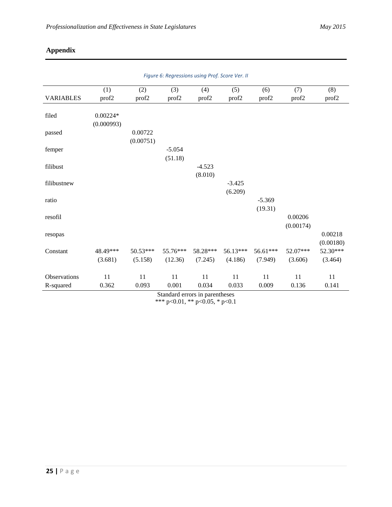# **Appendix**

| Figure 6: Regressions using Prof. Score Ver. II |                          |           |                   |          |          |          |           |           |
|-------------------------------------------------|--------------------------|-----------|-------------------|----------|----------|----------|-----------|-----------|
|                                                 | (1)                      | (2)       | (3)               | (4)      | (5)      | (6)      | (7)       | (8)       |
| <b>VARIABLES</b>                                | prof2                    | prof2     | prof <sub>2</sub> | prof2    | prof2    | prof2    | prof2     | prof2     |
| filed                                           | $0.00224*$<br>(0.000993) |           |                   |          |          |          |           |           |
| passed                                          |                          | 0.00722   |                   |          |          |          |           |           |
|                                                 |                          | (0.00751) |                   |          |          |          |           |           |
| femper                                          |                          |           | $-5.054$          |          |          |          |           |           |
|                                                 |                          |           | (51.18)           |          |          |          |           |           |
| filibust                                        |                          |           |                   | $-4.523$ |          |          |           |           |
|                                                 |                          |           |                   | (8.010)  |          |          |           |           |
| filibustnew                                     |                          |           |                   |          | $-3.425$ |          |           |           |
| ratio                                           |                          |           |                   |          | (6.209)  | $-5.369$ |           |           |
|                                                 |                          |           |                   |          |          | (19.31)  |           |           |
| resofil                                         |                          |           |                   |          |          |          | 0.00206   |           |
|                                                 |                          |           |                   |          |          |          | (0.00174) |           |
| resopas                                         |                          |           |                   |          |          |          |           | 0.00218   |
|                                                 |                          |           |                   |          |          |          |           | (0.00180) |
| Constant                                        | 48.49***                 | 50.53***  | 55.76***          | 58.28*** | 56.13*** | 56.61*** | 52.07***  | 52.30***  |
|                                                 | (3.681)                  | (5.158)   | (12.36)           | (7.245)  | (4.186)  | (7.949)  | (3.606)   | (3.464)   |
|                                                 |                          |           |                   |          |          |          |           |           |
| Observations                                    | $11\,$                   | $11\,$    | $11\,$            | $11\,$   | 11       | 11       | 11        | $11\,$    |
| R-squared                                       | 0.362                    | 0.093     | 0.001             | 0.034    | 0.033    | 0.009    | 0.136     | 0.141     |

Standard errors in parentheses \*\*\* p<0.01, \*\* p<0.05, \* p<0.1